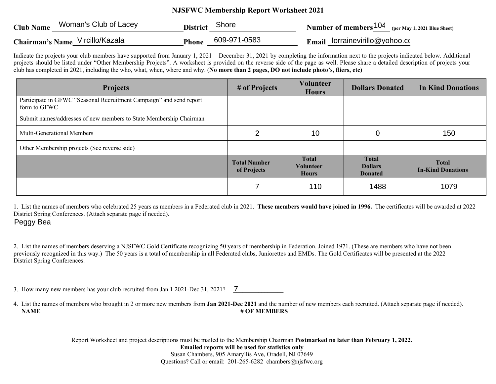## **NJSFWC Membership Report Worksheet 2021**

| <b>Club Name</b> | Woman's Club of Lacey           | <b>District</b> | Shore        | <b>Number of members</b> $104$ (per May 1, 2021 Blue Sheet) |
|------------------|---------------------------------|-----------------|--------------|-------------------------------------------------------------|
|                  | Chairman's Name Vircillo/Kazala | <b>Phone</b>    | 609-971-0583 | <b>Email</b> lorrainevirillo@yohoo.com                      |

Indicate the projects your club members have supported from January 1, 2021 – December 31, 2021 by completing the information next to the projects indicated below. Additional projects should be listed under "Other Membership Projects". A worksheet is provided on the reverse side of the page as well. Please share a detailed description of projects your club has completed in 2021, including the who, what, when, where and why. (**No more than 2 pages, DO not include photo's, fliers, etc)**

| <b>Projects</b>                                                                     | # of Projects                      | <b>Volunteer</b><br><b>Hours</b>                 | <b>Dollars Donated</b>                           | <b>In Kind Donations</b>                 |
|-------------------------------------------------------------------------------------|------------------------------------|--------------------------------------------------|--------------------------------------------------|------------------------------------------|
| Participate in GFWC "Seasonal Recruitment Campaign" and send report<br>form to GFWC |                                    |                                                  |                                                  |                                          |
| Submit names/addresses of new members to State Membership Chairman                  |                                    |                                                  |                                                  |                                          |
| Multi-Generational Members                                                          | 2                                  | 10                                               |                                                  | 150                                      |
| Other Membership projects (See reverse side)                                        |                                    |                                                  |                                                  |                                          |
|                                                                                     | <b>Total Number</b><br>of Projects | <b>Total</b><br><b>Volunteer</b><br><b>Hours</b> | <b>Total</b><br><b>Dollars</b><br><b>Donated</b> | <b>Total</b><br><b>In-Kind Donations</b> |
|                                                                                     |                                    | 110                                              | 1488                                             | 1079                                     |

1. List the names of members who celebrated 25 years as members in a Federated club in 2021. **These members would have joined in 1996.** The certificates will be awarded at 2022 District Spring Conferences. (Attach separate page if needed).

Peggy Bea

2. List the names of members deserving a NJSFWC Gold Certificate recognizing 50 years of membership in Federation. Joined 1971. (These are members who have not been previously recognized in this way.) The 50 years is a total of membership in all Federated clubs, Juniorettes and EMDs. The Gold Certificates will be presented at the 2022 District Spring Conferences.

3. How many new members has your club recruited from Jan 1 2021-Dec 31, 2021?  $\overline{7}$ 

4. List the names of members who brought in 2 or more new members from **Jan 2021-Dec 2021** and the number of new members each recruited. (Attach separate page if needed). **NAME** # OF MEMBERS

Report Worksheet and project descriptions must be mailed to the Membership Chairman **Postmarked no later than February 1, 2022.** 

**Emailed reports will be used for statistics only**

Susan Chambers, 905 Amaryllis Ave, Oradell, NJ 07649 Questions? Call or email: 201-265-6282 chambers@njsfwc.org